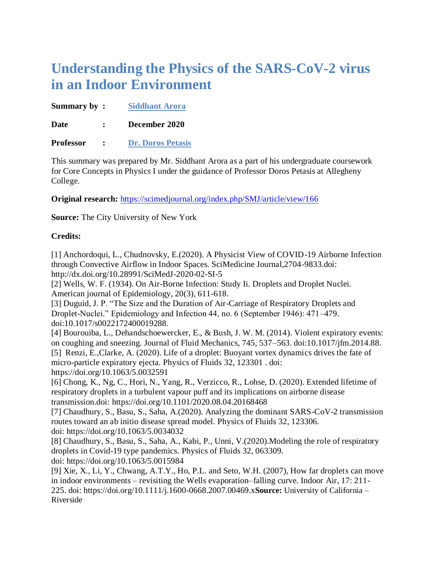## **Understanding the Physics of the SARS-CoV-2 virus in an Indoor Environment**

**Summary by : Siddhant Arora**

**Date : December 2020** 

**Professor : Dr. Doros Petasis**

This summary was prepared by Mr. Siddhant Arora as a part of his undergraduate coursework for Core Concepts in Physics I under the guidance of Professor Doros Petasis at Allegheny College.

**Original research:** <https://scimedjournal.org/index.php/SMJ/article/view/166>

**Source:** The City University of New York

## **Credits:**

[1] Anchordoqui, L., Chudnovsky, E.(2020). A Physicist View of COVID-19 Airborne Infection through Convective Airflow in Indoor Spaces. SciMedicine Journal,2704-9833.doi: http://dx.doi.org/10.28991/SciMedJ-2020-02-SI-5

[2] Wells, W. F. (1934). On Air-Borne Infection: Study Ii. Droplets and Droplet Nuclei. American journal of Epidemiology, 20(3), 611-618.

[3] Duguid, J. P. "The Size and the Duration of Air-Carriage of Respiratory Droplets and Droplet-Nuclei." Epidemiology and Infection 44, no. 6 (September 1946): 471–479. doi:10.1017/s0022172400019288.

[4] Bourouiba, L., Dehandschoewercker, E., & Bush, J. W. M. (2014). Violent expiratory events: on coughing and sneezing. Journal of Fluid Mechanics, 745, 537–563. doi:10.1017/jfm.2014.88. [5] Renzi, E[.,Clarke,](https://aip.scitation.org/author/Clarke%2C+A) A. (2020). Life of a droplet: Buoyant vortex dynamics drives the fate of

micro-particle expiratory ejecta. Physics of Fluids 32, 123301 . doi: https://doi.org/10.1063/5.0032591

[6] Chong, K., Ng, C., Hori, N., Yang, R., Verzicco, R., Lohse, D. (2020). Extended lifetime of respiratory droplets in a turbulent vapour puff and its implications on airborne disease transmission.doi: <https://doi.org/10.1101/2020.08.04.20168468>

[7] Chaudhury, S., Basu, S., Saha, A.(2020). Analyzing the dominant SARS-CoV-2 transmission routes toward an ab initio disease spread model. Physics of Fluids 32, 123306. doi: <https://doi.org/10.1063/5.0034032>

[8] Chaudhury, S., Basu, S., Saha, A., Kabi, P., Unni, V.(2020).Modeling the role of respiratory droplets in Covid-19 type pandemics. Physics of Fluids 32, 063309.

doi: <https://doi.org/10.1063/5.0015984>

[9] Xie, X., Li, Y., Chwang, A.T.Y., Ho, P.L. and Seto, W.H. (2007), How far droplets can move in indoor environments – revisiting the Wells evaporation–falling curve. Indoor Air, 17: 211- 225. doi:<https://doi.org/10.1111/j.1600-0668.2007.00469.x>**Source:** University of California – Riverside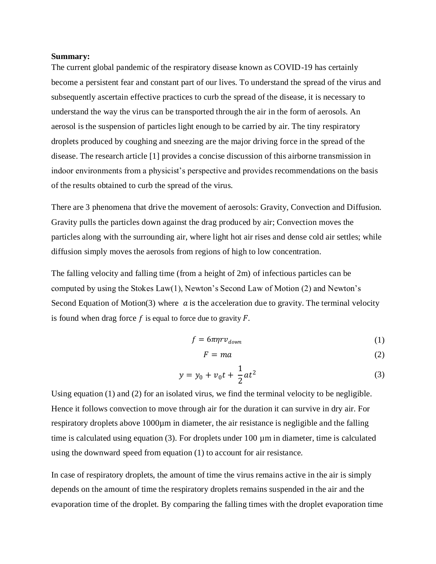## **Summary:**

The current global pandemic of the respiratory disease known as COVID-19 has certainly become a persistent fear and constant part of our lives. To understand the spread of the virus and subsequently ascertain effective practices to curb the spread of the disease, it is necessary to understand the way the virus can be transported through the air in the form of aerosols. An aerosol is the suspension of particles light enough to be carried by air. The tiny respiratory droplets produced by coughing and sneezing are the major driving force in the spread of the disease. The research article [1] provides a concise discussion of this airborne transmission in indoor environments from a physicist's perspective and provides recommendations on the basis of the results obtained to curb the spread of the virus.

There are 3 phenomena that drive the movement of aerosols: Gravity, Convection and Diffusion. Gravity pulls the particles down against the drag produced by air; Convection moves the particles along with the surrounding air, where light hot air rises and dense cold air settles; while diffusion simply moves the aerosols from regions of high to low concentration.

The falling velocity and falling time (from a height of 2m) of infectious particles can be computed by using the Stokes Law(1), Newton's Second Law of Motion (2) and Newton's Second Equation of Motion(3) where  $\alpha$  is the acceleration due to gravity. The terminal velocity is found when drag force  $f$  is equal to force due to gravity  $F$ .

$$
f = 6\pi\eta r v_{down} \tag{1}
$$

$$
F = ma \tag{2}
$$

$$
y = y_0 + v_0 t + \frac{1}{2} a t^2
$$
 (3)

Using equation (1) and (2) for an isolated virus, we find the terminal velocity to be negligible. Hence it follows convection to move through air for the duration it can survive in dry air. For respiratory droplets above 1000µm in diameter, the air resistance is negligible and the falling time is calculated using equation (3). For droplets under 100 µm in diameter, time is calculated using the downward speed from equation (1) to account for air resistance.

In case of respiratory droplets, the amount of time the virus remains active in the air is simply depends on the amount of time the respiratory droplets remains suspended in the air and the evaporation time of the droplet. By comparing the falling times with the droplet evaporation time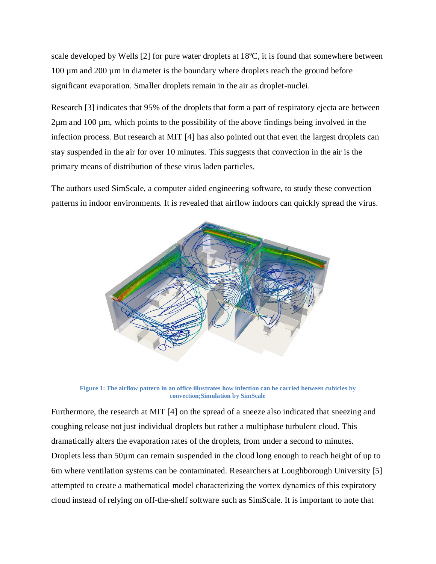scale developed by Wells [2] for pure water droplets at 18ºC, it is found that somewhere between 100 µm and 200 µm in diameter is the boundary where droplets reach the ground before significant evaporation. Smaller droplets remain in the air as droplet-nuclei.

Research [3] indicates that 95% of the droplets that form a part of respiratory ejecta are between 2µm and 100 µm, which points to the possibility of the above findings being involved in the infection process. But research at MIT [4] has also pointed out that even the largest droplets can stay suspended in the air for over 10 minutes. This suggests that convection in the air is the primary means of distribution of these virus laden particles.

The authors used SimScale, a computer aided engineering software, to study these convection patterns in indoor environments. It is revealed that airflow indoors can quickly spread the virus.



**Figure 1: The airflow pattern in an office illustrates how infection can be carried between cubicles by convection;Simulation by SimScale**

Furthermore, the research at MIT [4] on the spread of a sneeze also indicated that sneezing and coughing release not just individual droplets but rather a multiphase turbulent cloud. This dramatically alters the evaporation rates of the droplets, from under a second to minutes. Droplets less than 50µm can remain suspended in the cloud long enough to reach height of up to 6m where ventilation systems can be contaminated. Researchers at [Loughborough University](https://aip.scitation.org/action/doSearch?field1=Affiliation&text1=Department%20of%20Mathematical%20Sciences,%20Loughborough%20University&field2=AllField&text2=&Ppub=&Ppub=&AfterYear=&BeforeYear=&access=) [5] attempted to create a mathematical model characterizing the vortex dynamics of this expiratory cloud instead of relying on off-the-shelf software such as SimScale. It is important to note that